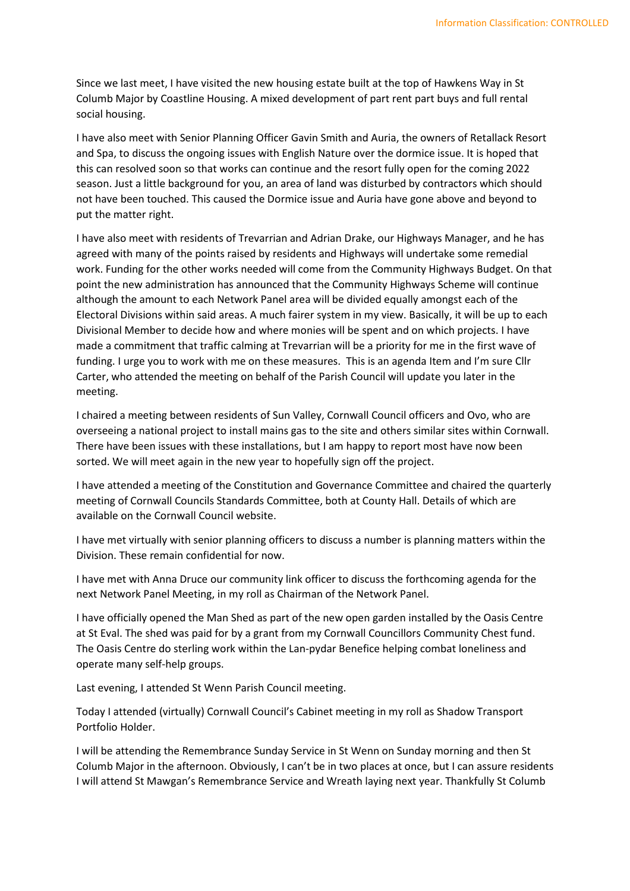Since we last meet, I have visited the new housing estate built at the top of Hawkens Way in St Columb Major by Coastline Housing. A mixed development of part rent part buys and full rental social housing.

I have also meet with Senior Planning Officer Gavin Smith and Auria, the owners of Retallack Resort and Spa, to discuss the ongoing issues with English Nature over the dormice issue. It is hoped that this can resolved soon so that works can continue and the resort fully open for the coming 2022 season. Just a little background for you, an area of land was disturbed by contractors which should not have been touched. This caused the Dormice issue and Auria have gone above and beyond to put the matter right.

I have also meet with residents of Trevarrian and Adrian Drake, our Highways Manager, and he has agreed with many of the points raised by residents and Highways will undertake some remedial work. Funding for the other works needed will come from the Community Highways Budget. On that point the new administration has announced that the Community Highways Scheme will continue although the amount to each Network Panel area will be divided equally amongst each of the Electoral Divisions within said areas. A much fairer system in my view. Basically, it will be up to each Divisional Member to decide how and where monies will be spent and on which projects. I have made a commitment that traffic calming at Trevarrian will be a priority for me in the first wave of funding. I urge you to work with me on these measures. This is an agenda Item and I'm sure Cllr Carter, who attended the meeting on behalf of the Parish Council will update you later in the meeting.

I chaired a meeting between residents of Sun Valley, Cornwall Council officers and Ovo, who are overseeing a national project to install mains gas to the site and others similar sites within Cornwall. There have been issues with these installations, but I am happy to report most have now been sorted. We will meet again in the new year to hopefully sign off the project.

I have attended a meeting of the Constitution and Governance Committee and chaired the quarterly meeting of Cornwall Councils Standards Committee, both at County Hall. Details of which are available on the Cornwall Council website.

I have met virtually with senior planning officers to discuss a number is planning matters within the Division. These remain confidential for now.

I have met with Anna Druce our community link officer to discuss the forthcoming agenda for the next Network Panel Meeting, in my roll as Chairman of the Network Panel.

I have officially opened the Man Shed as part of the new open garden installed by the Oasis Centre at St Eval. The shed was paid for by a grant from my Cornwall Councillors Community Chest fund. The Oasis Centre do sterling work within the Lan-pydar Benefice helping combat loneliness and operate many self-help groups.

Last evening, I attended St Wenn Parish Council meeting.

Today I attended (virtually) Cornwall Council's Cabinet meeting in my roll as Shadow Transport Portfolio Holder.

I will be attending the Remembrance Sunday Service in St Wenn on Sunday morning and then St Columb Major in the afternoon. Obviously, I can't be in two places at once, but I can assure residents I will attend St Mawgan's Remembrance Service and Wreath laying next year. Thankfully St Columb